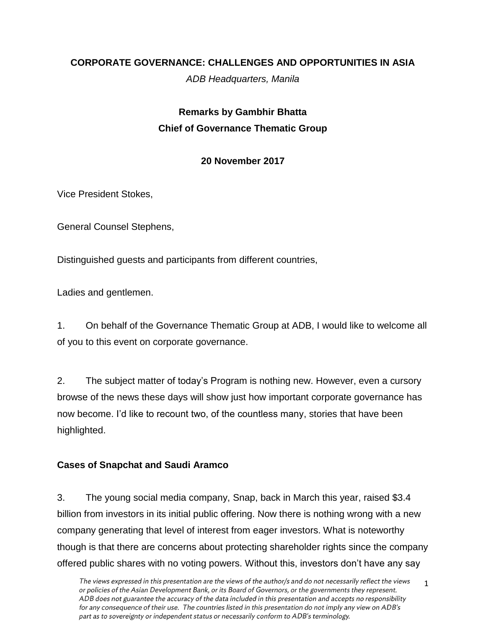## **CORPORATE GOVERNANCE: CHALLENGES AND OPPORTUNITIES IN ASIA**

*ADB Headquarters, Manila*

# **Remarks by Gambhir Bhatta Chief of Governance Thematic Group**

## **20 November 2017**

Vice President Stokes,

General Counsel Stephens,

Distinguished guests and participants from different countries,

Ladies and gentlemen.

1. On behalf of the Governance Thematic Group at ADB, I would like to welcome all of you to this event on corporate governance.

2. The subject matter of today's Program is nothing new. However, even a cursory browse of the news these days will show just how important corporate governance has now become. I'd like to recount two, of the countless many, stories that have been highlighted.

## **Cases of Snapchat and Saudi Aramco**

3. The young social media company, Snap, back in March this year, raised \$3.4 billion from investors in its initial public offering. Now there is nothing wrong with a new company generating that level of interest from eager investors. What is noteworthy though is that there are concerns about protecting shareholder rights since the company offered public shares with no voting powers. Without this, investors don't have any say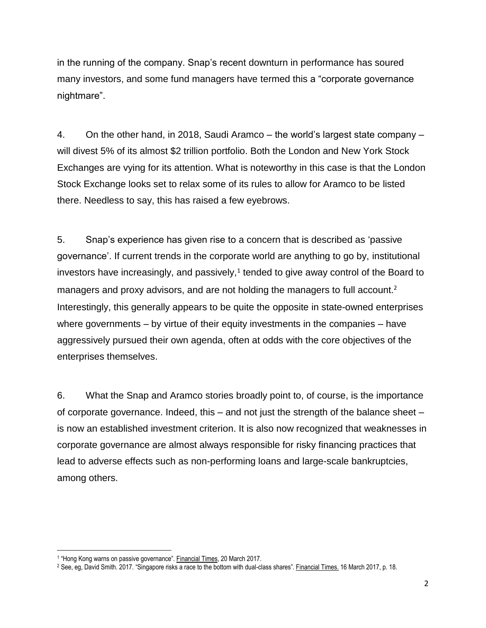in the running of the company. Snap's recent downturn in performance has soured many investors, and some fund managers have termed this a "corporate governance nightmare".

4. On the other hand, in 2018, Saudi Aramco – the world's largest state company – will divest 5% of its almost \$2 trillion portfolio. Both the London and New York Stock Exchanges are vying for its attention. What is noteworthy in this case is that the London Stock Exchange looks set to relax some of its rules to allow for Aramco to be listed there. Needless to say, this has raised a few eyebrows.

5. Snap's experience has given rise to a concern that is described as 'passive governance'. If current trends in the corporate world are anything to go by, institutional investors have increasingly, and passively, $1$  tended to give away control of the Board to managers and proxy advisors, and are not holding the managers to full account.<sup>2</sup> Interestingly, this generally appears to be quite the opposite in state-owned enterprises where governments – by virtue of their equity investments in the companies – have aggressively pursued their own agenda, often at odds with the core objectives of the enterprises themselves.

6. What the Snap and Aramco stories broadly point to, of course, is the importance of corporate governance. Indeed, this – and not just the strength of the balance sheet – is now an established investment criterion. It is also now recognized that weaknesses in corporate governance are almost always responsible for risky financing practices that lead to adverse effects such as non-performing loans and large-scale bankruptcies, among others.

 $\overline{\phantom{a}}$ 

<sup>&</sup>lt;sup>1</sup> "Hong Kong warns on passive governance". **Financial Times, 20 March 2017.** 

<sup>&</sup>lt;sup>2</sup> See, eg, David Smith. 2017. "Singapore risks a race to the bottom with dual-class shares". Financial Times. 16 March 2017, p. 18.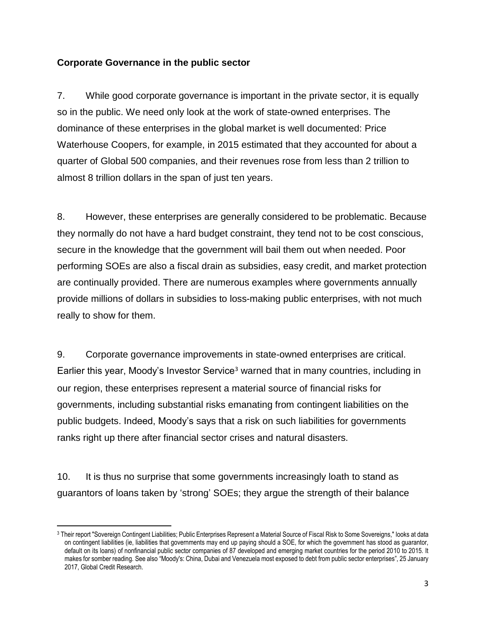### **Corporate Governance in the public sector**

7. While good corporate governance is important in the private sector, it is equally so in the public. We need only look at the work of state-owned enterprises. The dominance of these enterprises in the global market is well documented: Price Waterhouse Coopers, for example, in 2015 estimated that they accounted for about a quarter of Global 500 companies, and their revenues rose from less than 2 trillion to almost 8 trillion dollars in the span of just ten years.

8. However, these enterprises are generally considered to be problematic. Because they normally do not have a hard budget constraint, they tend not to be cost conscious, secure in the knowledge that the government will bail them out when needed. Poor performing SOEs are also a fiscal drain as subsidies, easy credit, and market protection are continually provided. There are numerous examples where governments annually provide millions of dollars in subsidies to loss-making public enterprises, with not much really to show for them.

9. Corporate governance improvements in state-owned enterprises are critical. Earlier this year, Moody's Investor Service<sup>3</sup> warned that in many countries, including in our region, these enterprises represent a material source of financial risks for governments, including substantial risks emanating from contingent liabilities on the public budgets. Indeed, Moody's says that a risk on such liabilities for governments ranks right up there after financial sector crises and natural disasters.

10. It is thus no surprise that some governments increasingly loath to stand as guarantors of loans taken by 'strong' SOEs; they argue the strength of their balance

 $\overline{a}$ 

<sup>3</sup> Their report "Sovereign Contingent Liabilities; Public Enterprises Represent a Material Source of Fiscal Risk to Some Sovereigns," looks at data on contingent liabilities (ie, liabilities that governments may end up paying should a SOE, for which the government has stood as guarantor, default on its loans) of nonfinancial public sector companies of 87 developed and emerging market countries for the period 2010 to 2015. It makes for somber reading. See also "Moody's: China, Dubai and Venezuela most exposed to debt from public sector enterprises", 25 January 2017, Global Credit Research.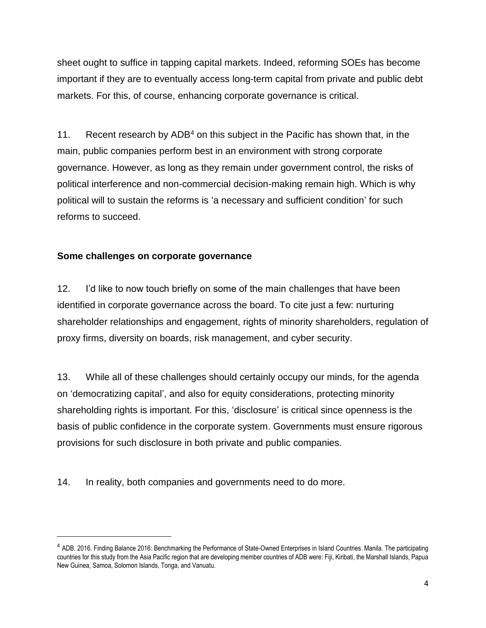sheet ought to suffice in tapping capital markets. Indeed, reforming SOEs has become important if they are to eventually access long-term capital from private and public debt markets. For this, of course, enhancing corporate governance is critical.

11. Recent research by  $ADB<sup>4</sup>$  on this subject in the Pacific has shown that, in the main, public companies perform best in an environment with strong corporate governance. However, as long as they remain under government control, the risks of political interference and non-commercial decision-making remain high. Which is why political will to sustain the reforms is 'a necessary and sufficient condition' for such reforms to succeed.

#### **Some challenges on corporate governance**

 $\overline{a}$ 

12. I'd like to now touch briefly on some of the main challenges that have been identified in corporate governance across the board. To cite just a few: nurturing shareholder relationships and engagement, rights of minority shareholders, regulation of proxy firms, diversity on boards, risk management, and cyber security.

13. While all of these challenges should certainly occupy our minds, for the agenda on 'democratizing capital', and also for equity considerations, protecting minority shareholding rights is important. For this, 'disclosure' is critical since openness is the basis of public confidence in the corporate system. Governments must ensure rigorous provisions for such disclosure in both private and public companies.

14. In reality, both companies and governments need to do more.

<sup>&</sup>lt;sup>4</sup> ADB. 2016. Finding Balance 2016: Benchmarking the Performance of State-Owned Enterprises in Island Countries. Manila. The participating countries for this study from the Asia Pacific region that are developing member countries of ADB were: Fiji, Kiribati, the Marshall Islands, Papua New Guinea, Samoa, Solomon Islands, Tonga, and Vanuatu.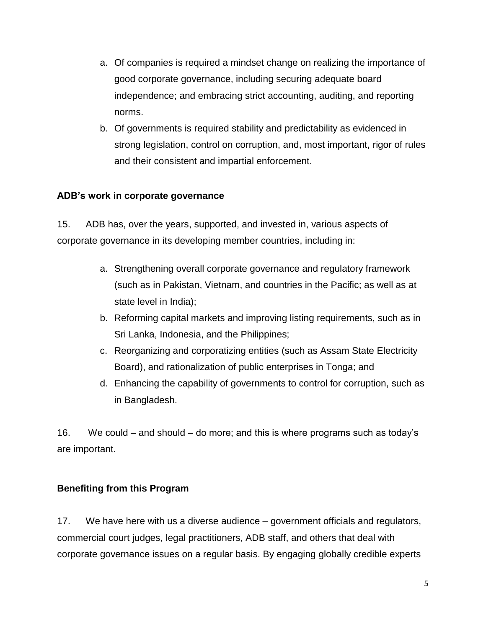- a. Of companies is required a mindset change on realizing the importance of good corporate governance, including securing adequate board independence; and embracing strict accounting, auditing, and reporting norms.
- b. Of governments is required stability and predictability as evidenced in strong legislation, control on corruption, and, most important, rigor of rules and their consistent and impartial enforcement.

## **ADB's work in corporate governance**

15. ADB has, over the years, supported, and invested in, various aspects of corporate governance in its developing member countries, including in:

- a. Strengthening overall corporate governance and regulatory framework (such as in Pakistan, Vietnam, and countries in the Pacific; as well as at state level in India);
- b. Reforming capital markets and improving listing requirements, such as in Sri Lanka, Indonesia, and the Philippines;
- c. Reorganizing and corporatizing entities (such as Assam State Electricity Board), and rationalization of public enterprises in Tonga; and
- d. Enhancing the capability of governments to control for corruption, such as in Bangladesh.

16. We could – and should – do more; and this is where programs such as today's are important.

## **Benefiting from this Program**

17. We have here with us a diverse audience – government officials and regulators, commercial court judges, legal practitioners, ADB staff, and others that deal with corporate governance issues on a regular basis. By engaging globally credible experts